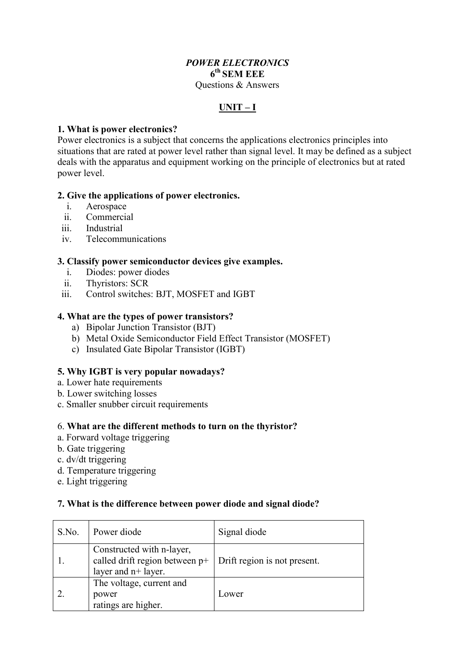#### *POWER ELECTRONICS* **6th SEM EEE** Questions & Answers

# **UNIT – I**

# **1. What is power electronics?**

Power electronics is a subject that concerns the applications electronics principles into situations that are rated at power level rather than signal level. It may be defined as a subject deals with the apparatus and equipment working on the principle of electronics but at rated power level.

# **2. Give the applications of power electronics.**

- i. Aerospace
- ii. Commercial
- iii. Industrial
- iv. Telecommunications

# **3. Classify power semiconductor devices give examples.**

- i. Diodes: power diodes
- ii. Thyristors: SCR
- iii. Control switches: BJT, MOSFET and IGBT

# **4. What are the types of power transistors?**

- a) Bipolar Junction Transistor (BJT)
- b) Metal Oxide Semiconductor Field Effect Transistor (MOSFET)
- c) Insulated Gate Bipolar Transistor (IGBT)

# **5. Why IGBT is very popular nowadays?**

- a. Lower hate requirements
- b. Lower switching losses
- c. Smaller snubber circuit requirements

#### 6. **What are the different methods to turn on the thyristor?**

- a. Forward voltage triggering
- b. Gate triggering
- c. dv/dt triggering
- d. Temperature triggering
- e. Light triggering

#### **7. What is the difference between power diode and signal diode?**

| S.No. | Power diode                                                                          | Signal diode                 |
|-------|--------------------------------------------------------------------------------------|------------------------------|
|       | Constructed with n-layer,<br>called drift region between p+<br>layer and $n+$ layer. | Drift region is not present. |
|       | The voltage, current and<br>power<br>ratings are higher.                             | Lower                        |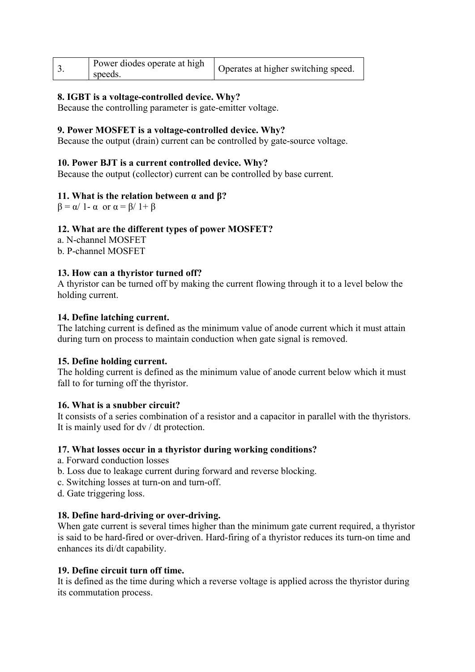|  | Power diodes operate at high<br>speeds. | Operates at higher switching speed. |
|--|-----------------------------------------|-------------------------------------|
|--|-----------------------------------------|-------------------------------------|

# **8. IGBT is a voltage-controlled device. Why?**

Because the controlling parameter is gate-emitter voltage.

#### **9. Power MOSFET is a voltage-controlled device. Why?**

Because the output (drain) current can be controlled by gate-source voltage.

#### **10. Power BJT is a current controlled device. Why?**

Because the output (collector) current can be controlled by base current.

#### **11. What is the relation between α and β?**

 $\beta = \alpha/1 - \alpha$  or  $\alpha = \beta/1 + \beta$ 

#### **12. What are the different types of power MOSFET?**

a. N-channel MOSFET

b. P-channel MOSFET

#### **13. How can a thyristor turned off?**

A thyristor can be turned off by making the current flowing through it to a level below the holding current.

#### **14. Define latching current.**

The latching current is defined as the minimum value of anode current which it must attain during turn on process to maintain conduction when gate signal is removed.

#### **15. Define holding current.**

The holding current is defined as the minimum value of anode current below which it must fall to for turning off the thyristor.

#### **16. What is a snubber circuit?**

It consists of a series combination of a resistor and a capacitor in parallel with the thyristors. It is mainly used for dv / dt protection.

#### **17. What losses occur in a thyristor during working conditions?**

- a. Forward conduction losses
- b. Loss due to leakage current during forward and reverse blocking.
- c. Switching losses at turn-on and turn-off.
- d. Gate triggering loss.

#### **18. Define hard-driving or over-driving.**

When gate current is several times higher than the minimum gate current required, a thyristor is said to be hard-fired or over-driven. Hard-firing of a thyristor reduces its turn-on time and enhances its di/dt capability.

#### **19. Define circuit turn off time.**

It is defined as the time during which a reverse voltage is applied across the thyristor during its commutation process.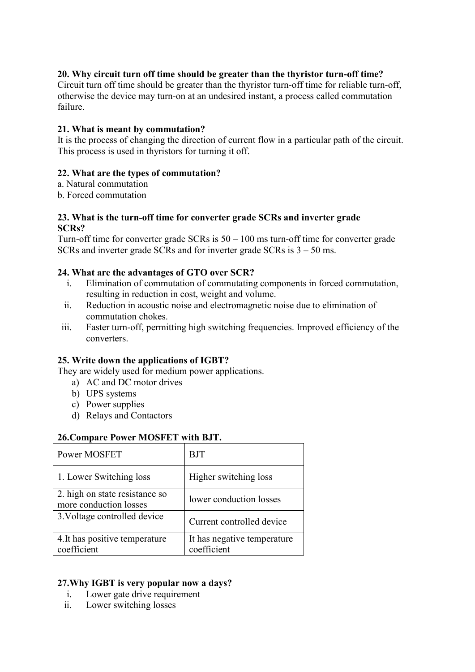# **20. Why circuit turn off time should be greater than the thyristor turn-off time?**

Circuit turn off time should be greater than the thyristor turn-off time for reliable turn-off, otherwise the device may turn-on at an undesired instant, a process called commutation failure.

# **21. What is meant by commutation?**

It is the process of changing the direction of current flow in a particular path of the circuit. This process is used in thyristors for turning it off.

# **22. What are the types of commutation?**

- a. Natural commutation
- b. Forced commutation

# **23. What is the turn-off time for converter grade SCRs and inverter grade SCRs?**

Turn-off time for converter grade  $SCRs$  is  $50 - 100$  ms turn-off time for converter grade SCRs and inverter grade SCRs and for inverter grade SCRs is 3 – 50 ms.

# **24. What are the advantages of GTO over SCR?**

- i. Elimination of commutation of commutating components in forced commutation, resulting in reduction in cost, weight and volume.
- ii. Reduction in acoustic noise and electromagnetic noise due to elimination of commutation chokes.
- iii. Faster turn-off, permitting high switching frequencies. Improved efficiency of the converters.

# **25. Write down the applications of IGBT?**

They are widely used for medium power applications.

- a) AC and DC motor drives
- b) UPS systems
- c) Power supplies
- d) Relays and Contactors

#### **26.Compare Power MOSFET with BJT.**

| Power MOSFET                                             | BJT                                        |
|----------------------------------------------------------|--------------------------------------------|
| 1. Lower Switching loss                                  | Higher switching loss                      |
| 2. high on state resistance so<br>more conduction losses | lower conduction losses                    |
| 3. Voltage controlled device                             | Current controlled device                  |
| 4. It has positive temperature<br>coefficient            | It has negative temperature<br>coefficient |

# **27.Why IGBT is very popular now a days?**

- i. Lower gate drive requirement
- ii. Lower switching losses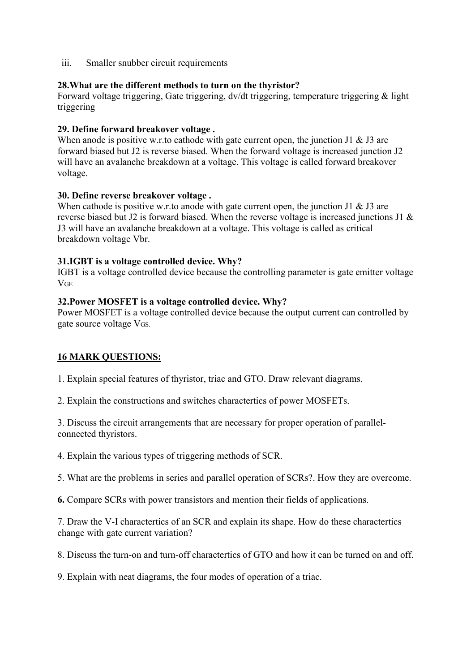iii. Smaller snubber circuit requirements

# **28.What are the different methods to turn on the thyristor?**

Forward voltage triggering, Gate triggering, dv/dt triggering, temperature triggering & light triggering

# **29. Define forward breakover voltage .**

When anode is positive w.r.to cathode with gate current open, the junction J1  $\&$  J3 are forward biased but J2 is reverse biased. When the forward voltage is increased junction J2 will have an avalanche breakdown at a voltage. This voltage is called forward breakover voltage.

# **30. Define reverse breakover voltage .**

When cathode is positive w.r.to anode with gate current open, the junction J1  $\&$  J3 are reverse biased but J2 is forward biased. When the reverse voltage is increased junctions J1 & J3 will have an avalanche breakdown at a voltage. This voltage is called as critical breakdown voltage Vbr.

# **31.IGBT is a voltage controlled device. Why?**

IGBT is a voltage controlled device because the controlling parameter is gate emitter voltage **VGE** 

# **32.Power MOSFET is a voltage controlled device. Why?**

Power MOSFET is a voltage controlled device because the output current can controlled by gate source voltage VGS.

# **16 MARK QUESTIONS:**

1. Explain special features of thyristor, triac and GTO. Draw relevant diagrams.

2. Explain the constructions and switches charactertics of power MOSFETs.

3. Discuss the circuit arrangements that are necessary for proper operation of parallelconnected thyristors.

4. Explain the various types of triggering methods of SCR.

5. What are the problems in series and parallel operation of SCRs?. How they are overcome.

**6.** Compare SCRs with power transistors and mention their fields of applications.

7. Draw the V-I charactertics of an SCR and explain its shape. How do these charactertics change with gate current variation?

8. Discuss the turn-on and turn-off charactertics of GTO and how it can be turned on and off.

9. Explain with neat diagrams, the four modes of operation of a triac.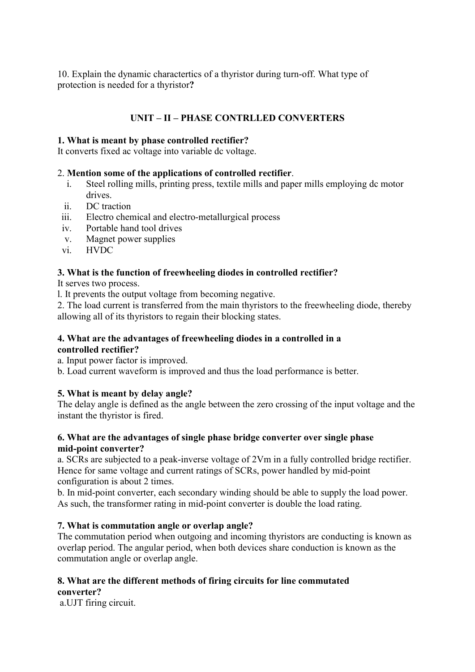10. Explain the dynamic charactertics of a thyristor during turn-off. What type of protection is needed for a thyristor**?** 

# **UNIT – II – PHASE CONTRLLED CONVERTERS**

# **1. What is meant by phase controlled rectifier?**

It converts fixed ac voltage into variable dc voltage.

# 2. **Mention some of the applications of controlled rectifier**.

- i. Steel rolling mills, printing press, textile mills and paper mills employing dc motor drives.
- ii. DC traction
- iii. Electro chemical and electro-metallurgical process
- iv. Portable hand tool drives
- v. Magnet power supplies
- vi. HVDC

# **3. What is the function of freewheeling diodes in controlled rectifier?**

It serves two process.

- l. It prevents the output voltage from becoming negative.
- 2. The load current is transferred from the main thyristors to the freewheeling diode, thereby allowing all of its thyristors to regain their blocking states.

# **4. What are the advantages of freewheeling diodes in a controlled in a controlled rectifier?**

a. Input power factor is improved.

b. Load current waveform is improved and thus the load performance is better.

# **5. What is meant by delay angle?**

The delay angle is defined as the angle between the zero crossing of the input voltage and the instant the thyristor is fired.

# **6. What are the advantages of single phase bridge converter over single phase mid-point converter?**

a. SCRs are subjected to a peak-inverse voltage of 2Vm in a fully controlled bridge rectifier. Hence for same voltage and current ratings of SCRs, power handled by mid-point configuration is about 2 times.

b. In mid-point converter, each secondary winding should be able to supply the load power. As such, the transformer rating in mid-point converter is double the load rating.

# **7. What is commutation angle or overlap angle?**

The commutation period when outgoing and incoming thyristors are conducting is known as overlap period. The angular period, when both devices share conduction is known as the commutation angle or overlap angle.

#### **8. What are the different methods of firing circuits for line commutated converter?**

a.UJT firing circuit.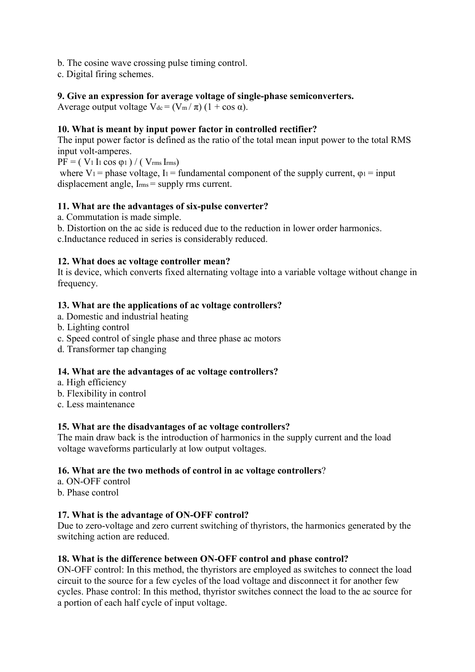- b. The cosine wave crossing pulse timing control.
- c. Digital firing schemes.

# **9. Give an expression for average voltage of single-phase semiconverters.**

Average output voltage  $V_{dc} = (V_m / \pi) (1 + \cos \alpha)$ .

# **10. What is meant by input power factor in controlled rectifier?**

The input power factor is defined as the ratio of the total mean input power to the total RMS input volt-amperes.

 $\overrightarrow{PF}$  = ( V<sub>1</sub> I<sub>1</sub> cos φ<sub>1</sub>) / ( V<sub>rms</sub> I<sub>rms</sub>)

where V<sub>1</sub> = phase voltage, I<sub>1</sub> = fundamental component of the supply current,  $\varphi_1$  = input displacement angle, I<sub>rms</sub> = supply rms current.

#### **11. What are the advantages of six-pulse converter?**

- a. Commutation is made simple.
- b. Distortion on the ac side is reduced due to the reduction in lower order harmonics.

c.Inductance reduced in series is considerably reduced.

# **12. What does ac voltage controller mean?**

It is device, which converts fixed alternating voltage into a variable voltage without change in frequency.

# **13. What are the applications of ac voltage controllers?**

- a. Domestic and industrial heating
- b. Lighting control
- c. Speed control of single phase and three phase ac motors
- d. Transformer tap changing

#### **14. What are the advantages of ac voltage controllers?**

- a. High efficiency
- b. Flexibility in control
- c. Less maintenance

#### **15. What are the disadvantages of ac voltage controllers?**

The main draw back is the introduction of harmonics in the supply current and the load voltage waveforms particularly at low output voltages.

#### **16. What are the two methods of control in ac voltage controllers**?

a. ON-OFF control b. Phase control

# **17. What is the advantage of ON-OFF control?**

Due to zero-voltage and zero current switching of thyristors, the harmonics generated by the switching action are reduced.

#### **18. What is the difference between ON-OFF control and phase control?**

ON-OFF control: In this method, the thyristors are employed as switches to connect the load circuit to the source for a few cycles of the load voltage and disconnect it for another few cycles. Phase control: In this method, thyristor switches connect the load to the ac source for a portion of each half cycle of input voltage.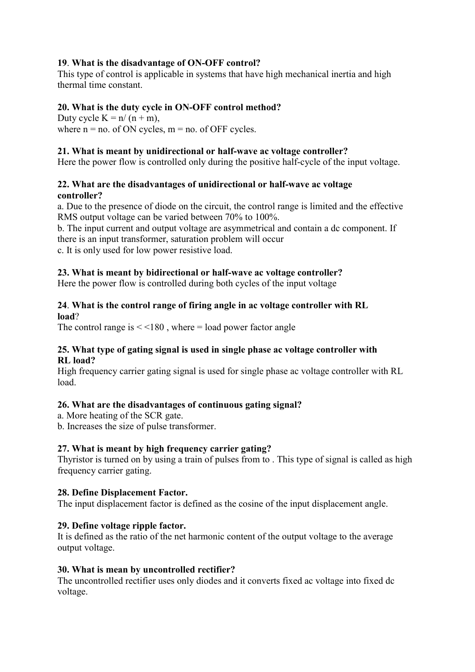# **19**. **What is the disadvantage of ON-OFF control?**

This type of control is applicable in systems that have high mechanical inertia and high thermal time constant.

# **20. What is the duty cycle in ON-OFF control method?**

Duty cycle  $K = n/(n + m)$ , where  $n = no$ . of ON cycles,  $m = no$ . of OFF cycles.

## **21. What is meant by unidirectional or half-wave ac voltage controller?**

Here the power flow is controlled only during the positive half-cycle of the input voltage.

# **22. What are the disadvantages of unidirectional or half-wave ac voltage controller?**

a. Due to the presence of diode on the circuit, the control range is limited and the effective RMS output voltage can be varied between 70% to 100%.

b. The input current and output voltage are asymmetrical and contain a dc component. If there is an input transformer, saturation problem will occur c. It is only used for low power resistive load.

# **23. What is meant by bidirectional or half-wave ac voltage controller?**

Here the power flow is controlled during both cycles of the input voltage

# **24**. **What is the control range of firing angle in ac voltage controller with RL load**?

The control range is  $\leq$  < 180, where = load power factor angle

# **25. What type of gating signal is used in single phase ac voltage controller with RL load?**

High frequency carrier gating signal is used for single phase ac voltage controller with RL load.

# **26. What are the disadvantages of continuous gating signal?**

a. More heating of the SCR gate.

b. Increases the size of pulse transformer.

# **27. What is meant by high frequency carrier gating?**

Thyristor is turned on by using a train of pulses from to . This type of signal is called as high frequency carrier gating.

# **28. Define Displacement Factor.**

The input displacement factor is defined as the cosine of the input displacement angle.

# **29. Define voltage ripple factor.**

It is defined as the ratio of the net harmonic content of the output voltage to the average output voltage.

#### **30. What is mean by uncontrolled rectifier?**

The uncontrolled rectifier uses only diodes and it converts fixed ac voltage into fixed dc voltage.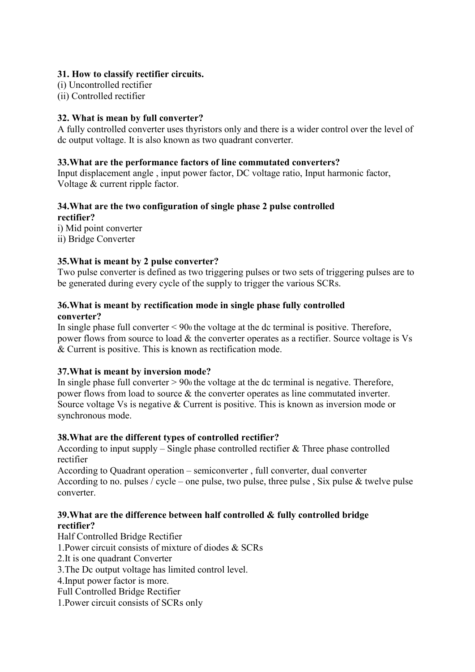# **31. How to classify rectifier circuits.**

(i) Uncontrolled rectifier

(ii) Controlled rectifier

# **32. What is mean by full converter?**

A fully controlled converter uses thyristors only and there is a wider control over the level of dc output voltage. It is also known as two quadrant converter.

# **33.What are the performance factors of line commutated converters?**

Input displacement angle , input power factor, DC voltage ratio, Input harmonic factor, Voltage & current ripple factor.

# **34.What are the two configuration of single phase 2 pulse controlled rectifier?**

i) Mid point converter ii) Bridge Converter

# **35.What is meant by 2 pulse converter?**

Two pulse converter is defined as two triggering pulses or two sets of triggering pulses are to be generated during every cycle of the supply to trigger the various SCRs.

# **36.What is meant by rectification mode in single phase fully controlled converter?**

In single phase full converter < 900 the voltage at the dc terminal is positive. Therefore, power flows from source to load & the converter operates as a rectifier. Source voltage is Vs & Current is positive. This is known as rectification mode.

# **37.What is meant by inversion mode?**

In single phase full converter  $> 90$  the voltage at the dc terminal is negative. Therefore, power flows from load to source & the converter operates as line commutated inverter. Source voltage Vs is negative & Current is positive. This is known as inversion mode or synchronous mode.

# **38.What are the different types of controlled rectifier?**

According to input supply – Single phase controlled rectifier & Three phase controlled rectifier

According to Quadrant operation – semiconverter , full converter, dual converter According to no. pulses / cycle – one pulse, two pulse, three pulse, Six pulse & twelve pulse converter.

# **39.What are the difference between half controlled & fully controlled bridge rectifier?**

Half Controlled Bridge Rectifier 1.Power circuit consists of mixture of diodes & SCRs 2.It is one quadrant Converter 3.The Dc output voltage has limited control level. 4.Input power factor is more. Full Controlled Bridge Rectifier 1.Power circuit consists of SCRs only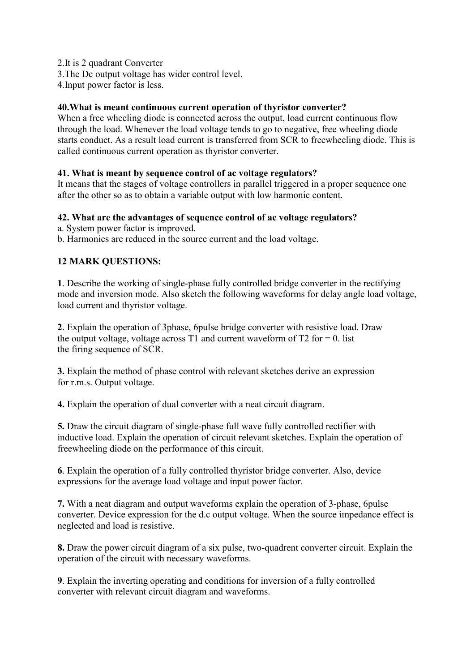2.It is 2 quadrant Converter

3.The Dc output voltage has wider control level.

4.Input power factor is less.

# **40.What is meant continuous current operation of thyristor converter?**

When a free wheeling diode is connected across the output, load current continuous flow through the load. Whenever the load voltage tends to go to negative, free wheeling diode starts conduct. As a result load current is transferred from SCR to freewheeling diode. This is called continuous current operation as thyristor converter.

# **41. What is meant by sequence control of ac voltage regulators?**

It means that the stages of voltage controllers in parallel triggered in a proper sequence one after the other so as to obtain a variable output with low harmonic content.

# **42. What are the advantages of sequence control of ac voltage regulators?**

- a. System power factor is improved.
- b. Harmonics are reduced in the source current and the load voltage.

# **12 MARK QUESTIONS:**

**1**. Describe the working of single-phase fully controlled bridge converter in the rectifying mode and inversion mode. Also sketch the following waveforms for delay angle load voltage, load current and thyristor voltage.

**2**. Explain the operation of 3phase, 6pulse bridge converter with resistive load. Draw the output voltage, voltage across T1 and current waveform of T2 for  $= 0$ . list the firing sequence of SCR.

**3.** Explain the method of phase control with relevant sketches derive an expression for r.m.s. Output voltage.

**4.** Explain the operation of dual converter with a neat circuit diagram.

**5.** Draw the circuit diagram of single-phase full wave fully controlled rectifier with inductive load. Explain the operation of circuit relevant sketches. Explain the operation of freewheeling diode on the performance of this circuit.

**6**. Explain the operation of a fully controlled thyristor bridge converter. Also, device expressions for the average load voltage and input power factor.

**7.** With a neat diagram and output waveforms explain the operation of 3-phase, 6pulse converter. Device expression for the d.c output voltage. When the source impedance effect is neglected and load is resistive.

**8.** Draw the power circuit diagram of a six pulse, two-quadrent converter circuit. Explain the operation of the circuit with necessary waveforms.

**9**. Explain the inverting operating and conditions for inversion of a fully controlled converter with relevant circuit diagram and waveforms.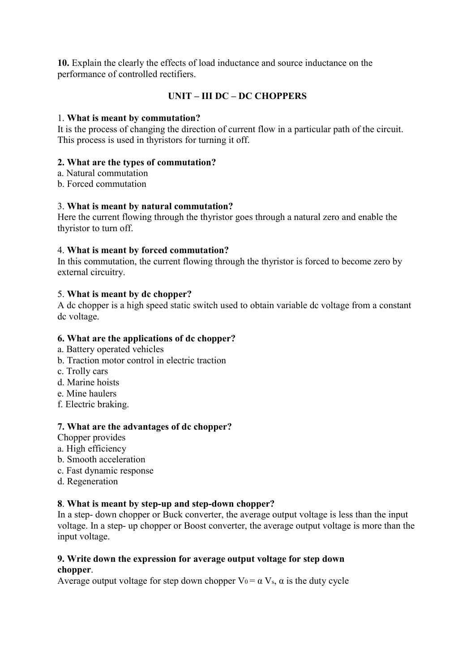**10.** Explain the clearly the effects of load inductance and source inductance on the performance of controlled rectifiers.

# **UNIT – III DC – DC CHOPPERS**

# 1. **What is meant by commutation?**

It is the process of changing the direction of current flow in a particular path of the circuit. This process is used in thyristors for turning it off.

# **2. What are the types of commutation?**

- a. Natural commutation
- b. Forced commutation

# 3. **What is meant by natural commutation?**

Here the current flowing through the thyristor goes through a natural zero and enable the thyristor to turn off.

# 4. **What is meant by forced commutation?**

In this commutation, the current flowing through the thyristor is forced to become zero by external circuitry.

# 5. **What is meant by dc chopper?**

A dc chopper is a high speed static switch used to obtain variable dc voltage from a constant dc voltage.

# **6. What are the applications of dc chopper?**

- a. Battery operated vehicles
- b. Traction motor control in electric traction
- c. Trolly cars
- d. Marine hoists
- e. Mine haulers
- f. Electric braking.

#### **7. What are the advantages of dc chopper?**

- Chopper provides
- a. High efficiency
- b. Smooth acceleration
- c. Fast dynamic response
- d. Regeneration

#### **8**. **What is meant by step-up and step-down chopper?**

In a step- down chopper or Buck converter, the average output voltage is less than the input voltage. In a step- up chopper or Boost converter, the average output voltage is more than the input voltage.

#### **9. Write down the expression for average output voltage for step down chopper**.

Average output voltage for step down chopper  $V_0 = \alpha V_s$ ,  $\alpha$  is the duty cycle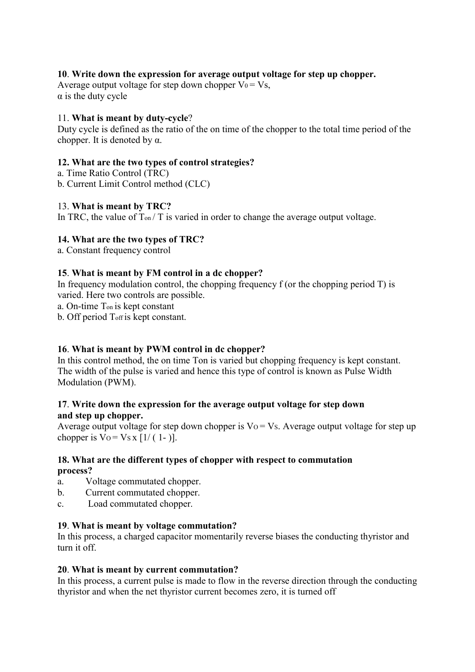# **10**. **Write down the expression for average output voltage for step up chopper.**

Average output voltage for step down chopper  $V_0 = V_s$ .  $\alpha$  is the duty cycle

# 11. **What is meant by duty-cycle**?

Duty cycle is defined as the ratio of the on time of the chopper to the total time period of the chopper. It is denoted by  $\alpha$ .

# **12. What are the two types of control strategies?**

- a. Time Ratio Control (TRC)
- b. Current Limit Control method (CLC)

# 13. **What is meant by TRC?**

In TRC, the value of  $T_{on}/T$  is varied in order to change the average output voltage.

# **14. What are the two types of TRC?**

a. Constant frequency control

# **15**. **What is meant by FM control in a dc chopper?**

In frequency modulation control, the chopping frequency f (or the chopping period  $T$ ) is varied. Here two controls are possible.

a. On-time Ton is kept constant

b. Off period Toff is kept constant.

# **16**. **What is meant by PWM control in dc chopper?**

In this control method, the on time Ton is varied but chopping frequency is kept constant. The width of the pulse is varied and hence this type of control is known as Pulse Width Modulation (PWM).

# **17**. **Write down the expression for the average output voltage for step down and step up chopper.**

Average output voltage for step down chopper is  $Vo = Vs$ . Average output voltage for step up chopper is  $\sqrt{V} = \sqrt{S} \times [1/(1-)].$ 

# **18. What are the different types of chopper with respect to commutation process?**

- a. Voltage commutated chopper.
- b. Current commutated chopper.
- c. Load commutated chopper.

# **19**. **What is meant by voltage commutation?**

In this process, a charged capacitor momentarily reverse biases the conducting thyristor and turn it off.

#### **20**. **What is meant by current commutation?**

In this process, a current pulse is made to flow in the reverse direction through the conducting thyristor and when the net thyristor current becomes zero, it is turned off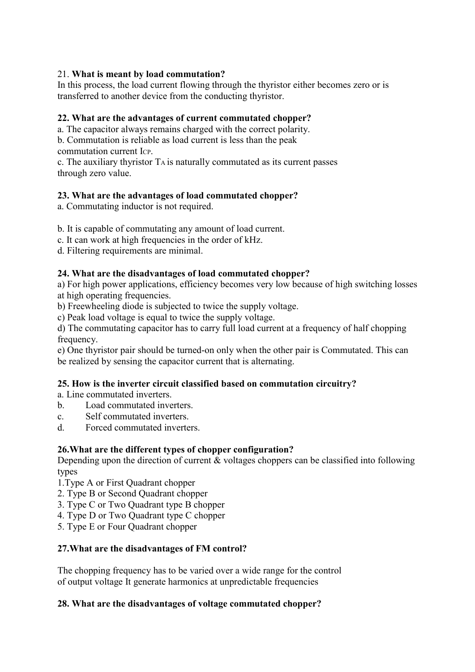# 21. **What is meant by load commutation?**

In this process, the load current flowing through the thyristor either becomes zero or is transferred to another device from the conducting thyristor.

# **22. What are the advantages of current commutated chopper?**

a. The capacitor always remains charged with the correct polarity.

b. Commutation is reliable as load current is less than the peak commutation current ICP.

c. The auxiliary thyristor TA is naturally commutated as its current passes through zero value.

# **23. What are the advantages of load commutated chopper?**

a. Commutating inductor is not required.

b. It is capable of commutating any amount of load current.

c. It can work at high frequencies in the order of kHz.

d. Filtering requirements are minimal.

# **24. What are the disadvantages of load commutated chopper?**

a) For high power applications, efficiency becomes very low because of high switching losses at high operating frequencies.

b) Freewheeling diode is subjected to twice the supply voltage.

c) Peak load voltage is equal to twice the supply voltage.

d) The commutating capacitor has to carry full load current at a frequency of half chopping frequency.

e) One thyristor pair should be turned-on only when the other pair is Commutated. This can be realized by sensing the capacitor current that is alternating.

# **25. How is the inverter circuit classified based on commutation circuitry?**

a. Line commutated inverters.

- b. Load commutated inverters.
- c. Self commutated inverters.
- d. Forced commutated inverters.

# **26.What are the different types of chopper configuration?**

Depending upon the direction of current & voltages choppers can be classified into following types

- 1.Type A or First Quadrant chopper
- 2. Type B or Second Quadrant chopper
- 3. Type C or Two Quadrant type B chopper
- 4. Type D or Two Quadrant type C chopper
- 5. Type E or Four Quadrant chopper

# **27.What are the disadvantages of FM control?**

The chopping frequency has to be varied over a wide range for the control of output voltage It generate harmonics at unpredictable frequencies

# **28. What are the disadvantages of voltage commutated chopper?**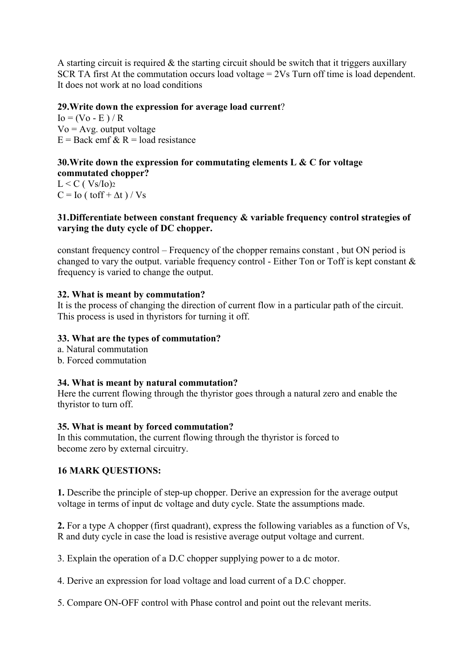A starting circuit is required  $\&$  the starting circuit should be switch that it triggers auxillary SCR TA first At the commutation occurs load voltage = 2Vs Turn off time is load dependent. It does not work at no load conditions

# **29.Write down the expression for average load current**?

 $I_0 = (V_0 - E) / R$  $Vo = Avg$ . output voltage  $E = Back$  emf  $\&$  R = load resistance

#### **30.Write down the expression for commutating elements L & C for voltage commutated chopper?**

 $L < C$  (  $Vs/Io$ )<sub>2</sub>  $C =$  Io ( toff +  $\Delta t$  ) / Vs

# **31.Differentiate between constant frequency & variable frequency control strategies of varying the duty cycle of DC chopper.**

constant frequency control – Frequency of the chopper remains constant , but ON period is changed to vary the output. variable frequency control - Either Ton or Toff is kept constant & frequency is varied to change the output.

# **32. What is meant by commutation?**

It is the process of changing the direction of current flow in a particular path of the circuit. This process is used in thyristors for turning it off.

# **33. What are the types of commutation?**

- a. Natural commutation
- b. Forced commutation

# **34. What is meant by natural commutation?**

Here the current flowing through the thyristor goes through a natural zero and enable the thyristor to turn off.

#### **35. What is meant by forced commutation?**

In this commutation, the current flowing through the thyristor is forced to become zero by external circuitry.

# **16 MARK QUESTIONS:**

**1.** Describe the principle of step-up chopper. Derive an expression for the average output voltage in terms of input dc voltage and duty cycle. State the assumptions made.

**2.** For a type A chopper (first quadrant), express the following variables as a function of Vs, R and duty cycle in case the load is resistive average output voltage and current.

3. Explain the operation of a D.C chopper supplying power to a dc motor.

4. Derive an expression for load voltage and load current of a D.C chopper.

5. Compare ON-OFF control with Phase control and point out the relevant merits.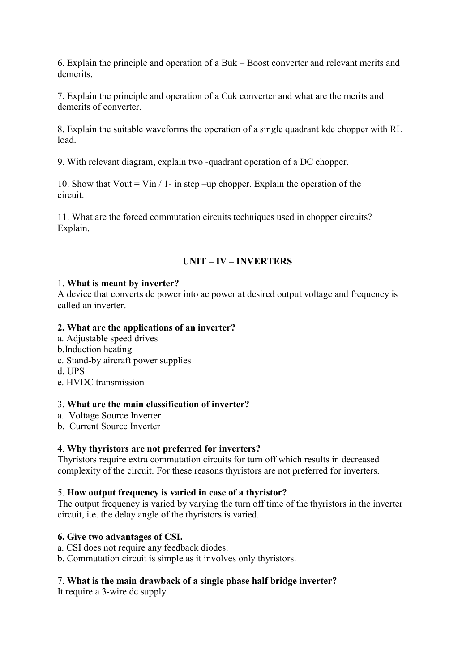6. Explain the principle and operation of a Buk – Boost converter and relevant merits and demerits.

7. Explain the principle and operation of a Cuk converter and what are the merits and demerits of converter.

8. Explain the suitable waveforms the operation of a single quadrant kdc chopper with RL load.

9. With relevant diagram, explain two -quadrant operation of a DC chopper.

10. Show that Vout = Vin  $/$  1- in step –up chopper. Explain the operation of the circuit.

11. What are the forced commutation circuits techniques used in chopper circuits? Explain.

# **UNIT – IV – INVERTERS**

#### 1. **What is meant by inverter?**

A device that converts dc power into ac power at desired output voltage and frequency is called an inverter.

#### **2. What are the applications of an inverter?**

- a. Adjustable speed drives
- b.Induction heating
- c. Stand-by aircraft power supplies
- d. UPS
- e. HVDC transmission

## 3. **What are the main classification of inverter?**

- a. Voltage Source Inverter
- b. Current Source Inverter

#### 4. **Why thyristors are not preferred for inverters?**

Thyristors require extra commutation circuits for turn off which results in decreased complexity of the circuit. For these reasons thyristors are not preferred for inverters.

#### 5. **How output frequency is varied in case of a thyristor?**

The output frequency is varied by varying the turn off time of the thyristors in the inverter circuit, i.e. the delay angle of the thyristors is varied.

## **6. Give two advantages of CSI.**

- a. CSI does not require any feedback diodes.
- b. Commutation circuit is simple as it involves only thyristors.

#### 7. **What is the main drawback of a single phase half bridge inverter?**

It require a 3-wire dc supply.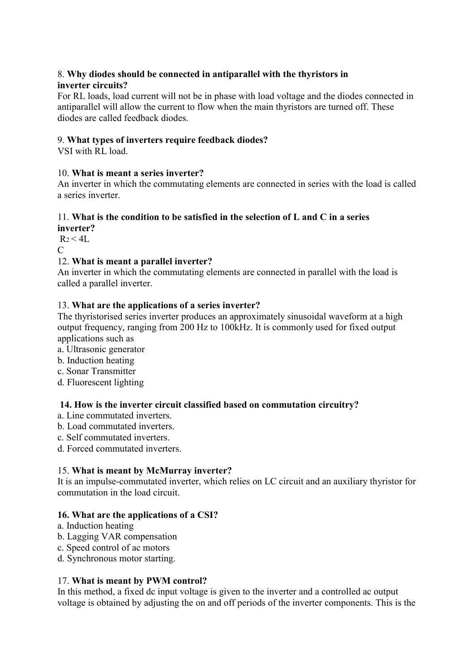# 8. **Why diodes should be connected in antiparallel with the thyristors in inverter circuits?**

For RL loads, load current will not be in phase with load voltage and the diodes connected in antiparallel will allow the current to flow when the main thyristors are turned off. These diodes are called feedback diodes.

# 9. **What types of inverters require feedback diodes?**

VSI with RL load.

# 10. **What is meant a series inverter?**

An inverter in which the commutating elements are connected in series with the load is called a series inverter.

# 11. **What is the condition to be satisfied in the selection of L and C in a series**

**inverter?**  $R_2 < 4L$ 

 $\mathcal{C}$ 

# 12. **What is meant a parallel inverter?**

An inverter in which the commutating elements are connected in parallel with the load is called a parallel inverter.

# 13. **What are the applications of a series inverter?**

The thyristorised series inverter produces an approximately sinusoidal waveform at a high output frequency, ranging from 200 Hz to 100kHz. It is commonly used for fixed output applications such as

- a. Ultrasonic generator
- b. Induction heating
- c. Sonar Transmitter
- d. Fluorescent lighting

# **14. How is the inverter circuit classified based on commutation circuitry?**

- a. Line commutated inverters.
- b. Load commutated inverters.
- c. Self commutated inverters.
- d. Forced commutated inverters.

# 15. **What is meant by McMurray inverter?**

It is an impulse-commutated inverter, which relies on LC circuit and an auxiliary thyristor for commutation in the load circuit.

#### **16. What are the applications of a CSI?**

- a. Induction heating
- b. Lagging VAR compensation
- c. Speed control of ac motors
- d. Synchronous motor starting.

## 17. **What is meant by PWM control?**

In this method, a fixed dc input voltage is given to the inverter and a controlled ac output voltage is obtained by adjusting the on and off periods of the inverter components. This is the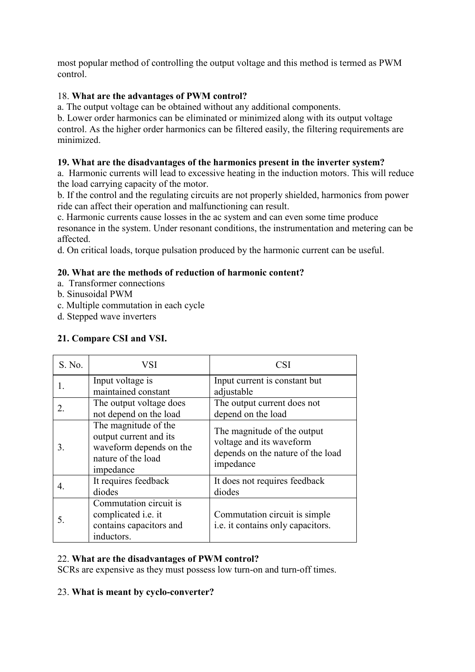most popular method of controlling the output voltage and this method is termed as PWM control.

# 18. **What are the advantages of PWM control?**

a. The output voltage can be obtained without any additional components.

b. Lower order harmonics can be eliminated or minimized along with its output voltage control. As the higher order harmonics can be filtered easily, the filtering requirements are minimized.

# **19. What are the disadvantages of the harmonics present in the inverter system?**

a. Harmonic currents will lead to excessive heating in the induction motors. This will reduce the load carrying capacity of the motor.

b. If the control and the regulating circuits are not properly shielded, harmonics from power ride can affect their operation and malfunctioning can result.

c. Harmonic currents cause losses in the ac system and can even some time produce resonance in the system. Under resonant conditions, the instrumentation and metering can be affected.

d. On critical loads, torque pulsation produced by the harmonic current can be useful.

# **20. What are the methods of reduction of harmonic content?**

- a. Transformer connections
- b. Sinusoidal PWM
- c. Multiple commutation in each cycle
- d. Stepped wave inverters

# **21. Compare CSI and VSI.**

| S. No. | VSI                                                                                                          | <b>CSI</b>                                                                                                |
|--------|--------------------------------------------------------------------------------------------------------------|-----------------------------------------------------------------------------------------------------------|
| 1.     | Input voltage is<br>maintained constant                                                                      | Input current is constant but<br>adjustable                                                               |
| 2.     | The output voltage does<br>not depend on the load                                                            | The output current does not<br>depend on the load                                                         |
| 3.     | The magnitude of the<br>output current and its<br>waveform depends on the<br>nature of the load<br>impedance | The magnitude of the output<br>voltage and its waveform<br>depends on the nature of the load<br>impedance |
| 4.     | It requires feedback<br>diodes                                                                               | It does not requires feedback<br>diodes                                                                   |
| 5.     | Commutation circuit is<br>complicated <i>i.e.</i> it<br>contains capacitors and<br>inductors.                | Commutation circuit is simple<br>i.e. it contains only capacitors.                                        |

# 22. **What are the disadvantages of PWM control?**

SCRs are expensive as they must possess low turn-on and turn-off times.

# 23. **What is meant by cyclo-converter?**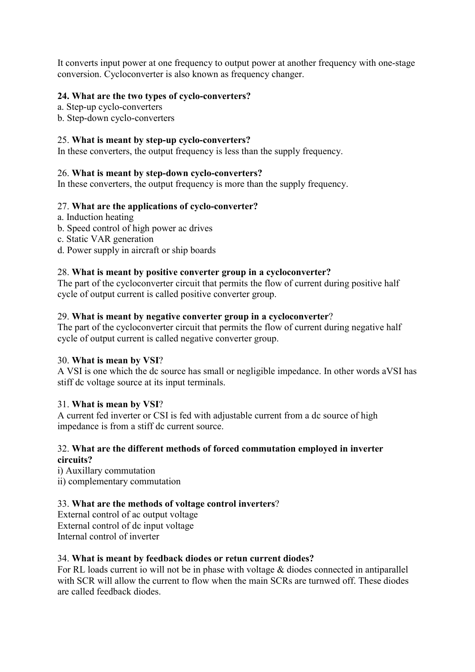It converts input power at one frequency to output power at another frequency with one-stage conversion. Cycloconverter is also known as frequency changer.

# **24. What are the two types of cyclo-converters?**

- a. Step-up cyclo-converters
- b. Step-down cyclo-converters

# 25. **What is meant by step-up cyclo-converters?**

In these converters, the output frequency is less than the supply frequency.

# 26. **What is meant by step-down cyclo-converters?**

In these converters, the output frequency is more than the supply frequency.

# 27. **What are the applications of cyclo-converter?**

- a. Induction heating
- b. Speed control of high power ac drives
- c. Static VAR generation
- d. Power supply in aircraft or ship boards

# 28. **What is meant by positive converter group in a cycloconverter?**

The part of the cycloconverter circuit that permits the flow of current during positive half cycle of output current is called positive converter group.

#### 29. **What is meant by negative converter group in a cycloconverter**?

The part of the cycloconverter circuit that permits the flow of current during negative half cycle of output current is called negative converter group.

#### 30. **What is mean by VSI**?

A VSI is one which the dc source has small or negligible impedance. In other words aVSI has stiff dc voltage source at its input terminals.

#### 31. **What is mean by VSI**?

A current fed inverter or CSI is fed with adjustable current from a dc source of high impedance is from a stiff dc current source.

#### 32. **What are the different methods of forced commutation employed in inverter circuits?**

i) Auxillary commutation ii) complementary commutation

# 33. **What are the methods of voltage control inverters**?

External control of ac output voltage External control of dc input voltage Internal control of inverter

#### 34. **What is meant by feedback diodes or retun current diodes?**

For RL loads current io will not be in phase with voltage & diodes connected in antiparallel with SCR will allow the current to flow when the main SCRs are turnwed off. These diodes are called feedback diodes.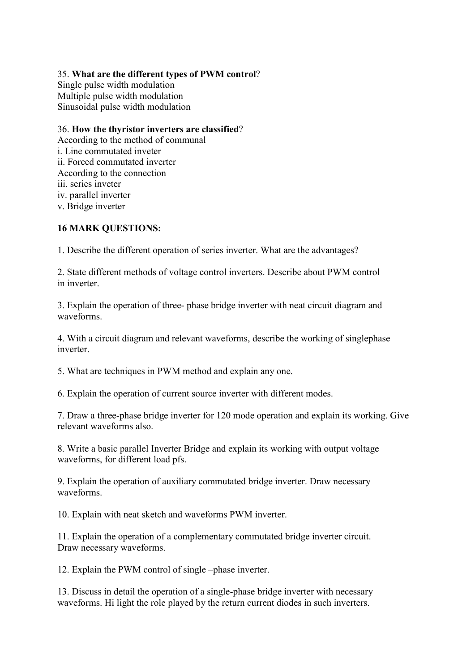# 35. **What are the different types of PWM control**?

Single pulse width modulation Multiple pulse width modulation Sinusoidal pulse width modulation

# 36. **How the thyristor inverters are classified**?

According to the method of communal i. Line commutated inveter ii. Forced commutated inverter According to the connection iii. series inveter iv. parallel inverter v. Bridge inverter

# **16 MARK QUESTIONS:**

1. Describe the different operation of series inverter. What are the advantages?

2. State different methods of voltage control inverters. Describe about PWM control in inverter.

3. Explain the operation of three- phase bridge inverter with neat circuit diagram and waveforms.

4. With a circuit diagram and relevant waveforms, describe the working of singlephase inverter.

5. What are techniques in PWM method and explain any one.

6. Explain the operation of current source inverter with different modes.

7. Draw a three-phase bridge inverter for 120 mode operation and explain its working. Give relevant waveforms also.

8. Write a basic parallel Inverter Bridge and explain its working with output voltage waveforms, for different load pfs.

9. Explain the operation of auxiliary commutated bridge inverter. Draw necessary waveforms.

10. Explain with neat sketch and waveforms PWM inverter.

11. Explain the operation of a complementary commutated bridge inverter circuit. Draw necessary waveforms.

12. Explain the PWM control of single –phase inverter.

13. Discuss in detail the operation of a single-phase bridge inverter with necessary waveforms. Hi light the role played by the return current diodes in such inverters.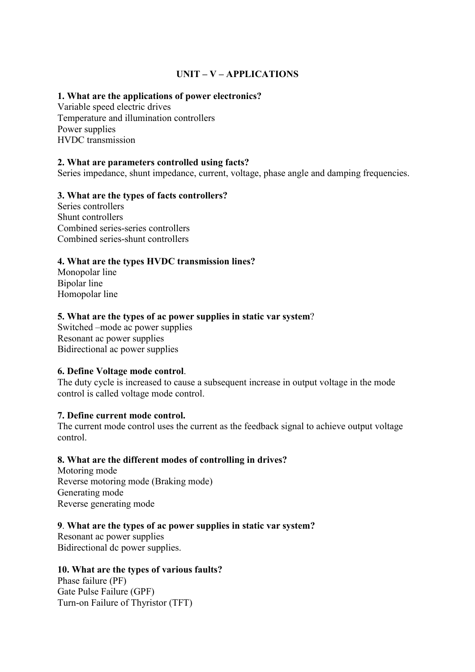# **UNIT – V – APPLICATIONS**

# **1. What are the applications of power electronics?**

Variable speed electric drives Temperature and illumination controllers Power supplies HVDC transmission

# **2. What are parameters controlled using facts?**

Series impedance, shunt impedance, current, voltage, phase angle and damping frequencies.

# **3. What are the types of facts controllers?**

Series controllers Shunt controllers Combined series-series controllers Combined series-shunt controllers

# **4. What are the types HVDC transmission lines?**

Monopolar line Bipolar line Homopolar line

# **5. What are the types of ac power supplies in static var system**?

Switched –mode ac power supplies Resonant ac power supplies Bidirectional ac power supplies

#### **6. Define Voltage mode control**.

The duty cycle is increased to cause a subsequent increase in output voltage in the mode control is called voltage mode control.

#### **7. Define current mode control.**

The current mode control uses the current as the feedback signal to achieve output voltage control.

#### **8. What are the different modes of controlling in drives?**

Motoring mode Reverse motoring mode (Braking mode) Generating mode Reverse generating mode

#### **9**. **What are the types of ac power supplies in static var system?**

Resonant ac power supplies Bidirectional dc power supplies.

#### **10. What are the types of various faults?**

Phase failure (PF) Gate Pulse Failure (GPF) Turn-on Failure of Thyristor (TFT)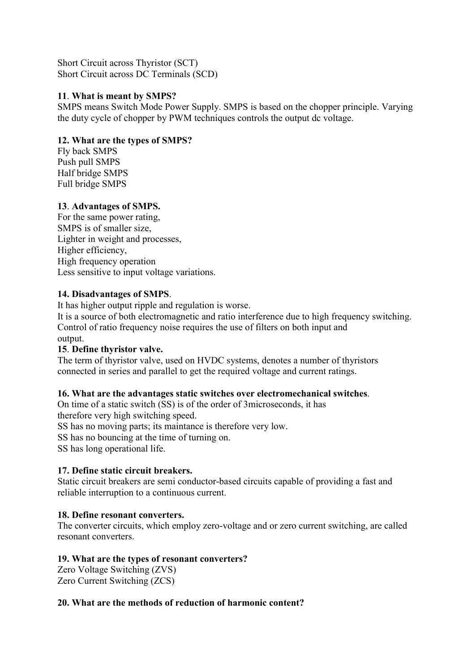Short Circuit across Thyristor (SCT) Short Circuit across DC Terminals (SCD)

# **11**. **What is meant by SMPS?**

SMPS means Switch Mode Power Supply. SMPS is based on the chopper principle. Varying the duty cycle of chopper by PWM techniques controls the output dc voltage.

# **12. What are the types of SMPS?**

Fly back SMPS Push pull SMPS Half bridge SMPS Full bridge SMPS

# **13**. **Advantages of SMPS.**

For the same power rating, SMPS is of smaller size, Lighter in weight and processes, Higher efficiency, High frequency operation Less sensitive to input voltage variations.

# **14. Disadvantages of SMPS**.

It has higher output ripple and regulation is worse.

It is a source of both electromagnetic and ratio interference due to high frequency switching. Control of ratio frequency noise requires the use of filters on both input and output.

#### **15**. **Define thyristor valve.**

The term of thyristor valve, used on HVDC systems, denotes a number of thyristors connected in series and parallel to get the required voltage and current ratings.

#### **16. What are the advantages static switches over electromechanical switches**.

On time of a static switch (SS) is of the order of 3microseconds, it has therefore very high switching speed.

SS has no moving parts; its maintance is therefore very low.

SS has no bouncing at the time of turning on.

SS has long operational life.

#### **17. Define static circuit breakers.**

Static circuit breakers are semi conductor-based circuits capable of providing a fast and reliable interruption to a continuous current.

#### **18. Define resonant converters.**

The converter circuits, which employ zero-voltage and or zero current switching, are called resonant converters.

#### **19. What are the types of resonant converters?**

Zero Voltage Switching (ZVS) Zero Current Switching (ZCS)

#### **20. What are the methods of reduction of harmonic content?**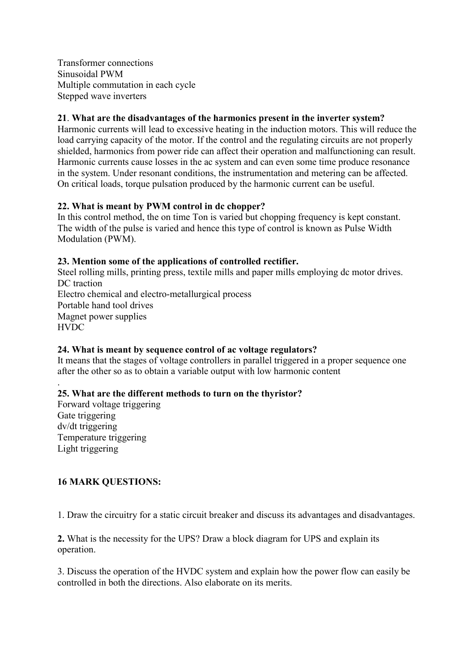Transformer connections Sinusoidal PWM Multiple commutation in each cycle Stepped wave inverters

# **21**. **What are the disadvantages of the harmonics present in the inverter system?**

Harmonic currents will lead to excessive heating in the induction motors. This will reduce the load carrying capacity of the motor. If the control and the regulating circuits are not properly shielded, harmonics from power ride can affect their operation and malfunctioning can result. Harmonic currents cause losses in the ac system and can even some time produce resonance in the system. Under resonant conditions, the instrumentation and metering can be affected. On critical loads, torque pulsation produced by the harmonic current can be useful.

# **22. What is meant by PWM control in dc chopper?**

In this control method, the on time Ton is varied but chopping frequency is kept constant. The width of the pulse is varied and hence this type of control is known as Pulse Width Modulation (PWM).

# **23. Mention some of the applications of controlled rectifier.**

Steel rolling mills, printing press, textile mills and paper mills employing dc motor drives. DC traction Electro chemical and electro-metallurgical process Portable hand tool drives Magnet power supplies **HVDC** 

#### **24. What is meant by sequence control of ac voltage regulators?**

It means that the stages of voltage controllers in parallel triggered in a proper sequence one after the other so as to obtain a variable output with low harmonic content

# **25. What are the different methods to turn on the thyristor?**

Forward voltage triggering Gate triggering dv/dt triggering Temperature triggering Light triggering

.

# **16 MARK QUESTIONS:**

1. Draw the circuitry for a static circuit breaker and discuss its advantages and disadvantages.

# **2.** What is the necessity for the UPS? Draw a block diagram for UPS and explain its operation.

3. Discuss the operation of the HVDC system and explain how the power flow can easily be controlled in both the directions. Also elaborate on its merits.